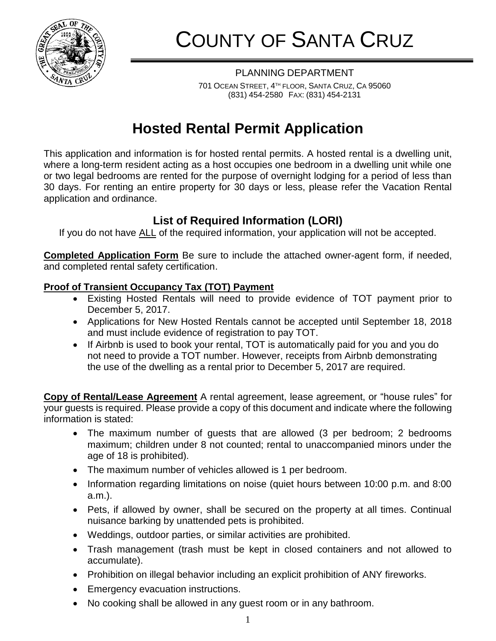

COUNTY OF SANTA CRUZ

PLANNING DEPARTMENT 701 OCEAN STREET, 4 TH FLOOR, SANTA CRUZ, CA 95060 (831) 454-2580 FAX: (831) 454-2131

# **Hosted Rental Permit Application**

This application and information is for hosted rental permits. A hosted rental is a dwelling unit, where a long-term resident acting as a host occupies one bedroom in a dwelling unit while one or two legal bedrooms are rented for the purpose of overnight lodging for a period of less than 30 days. For renting an entire property for 30 days or less, please refer the Vacation Rental application and ordinance.

## **List of Required Information (LORI)**

If you do not have ALL of the required information, your application will not be accepted.

**Completed Application Form** Be sure to include the attached owner-agent form, if needed, and completed rental safety certification.

### **Proof of Transient Occupancy Tax (TOT) Payment**

- Existing Hosted Rentals will need to provide evidence of TOT payment prior to December 5, 2017.
- Applications for New Hosted Rentals cannot be accepted until September 18, 2018 and must include evidence of registration to pay TOT.
- If Airbnb is used to book your rental, TOT is automatically paid for you and you do not need to provide a TOT number. However, receipts from Airbnb demonstrating the use of the dwelling as a rental prior to December 5, 2017 are required.

**Copy of Rental/Lease Agreement** A rental agreement, lease agreement, or "house rules" for your guests is required. Please provide a copy of this document and indicate where the following information is stated:

- The maximum number of guests that are allowed (3 per bedroom; 2 bedrooms maximum; children under 8 not counted; rental to unaccompanied minors under the age of 18 is prohibited).
- The maximum number of vehicles allowed is 1 per bedroom.
- Information regarding limitations on noise (quiet hours between 10:00 p.m. and 8:00 a.m.).
- Pets, if allowed by owner, shall be secured on the property at all times. Continual nuisance barking by unattended pets is prohibited.
- Weddings, outdoor parties, or similar activities are prohibited.
- Trash management (trash must be kept in closed containers and not allowed to accumulate).
- Prohibition on illegal behavior including an explicit prohibition of ANY fireworks.
- Emergency evacuation instructions.
- No cooking shall be allowed in any guest room or in any bathroom.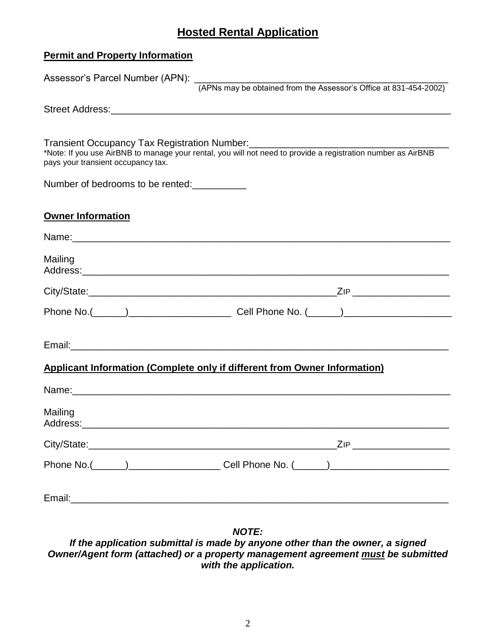# **Hosted Rental Application**

## **Permit and Property Information**

|                                    | Assessor's Parcel Number (APN): <u>(APNs may be obtained from the Assessor's Office at 831-454-2002)</u>                                                                                                                                  |
|------------------------------------|-------------------------------------------------------------------------------------------------------------------------------------------------------------------------------------------------------------------------------------------|
|                                    |                                                                                                                                                                                                                                           |
|                                    |                                                                                                                                                                                                                                           |
| pays your transient occupancy tax. | Transient Occupancy Tax Registration Number: ___________________________________<br>*Note: If you use AirBNB to manage your rental, you will not need to provide a registration number as AirBNB                                          |
| Number of bedrooms to be rented:   |                                                                                                                                                                                                                                           |
| <b>Owner Information</b>           |                                                                                                                                                                                                                                           |
|                                    |                                                                                                                                                                                                                                           |
| Mailing                            |                                                                                                                                                                                                                                           |
|                                    |                                                                                                                                                                                                                                           |
|                                    | Phone No.( <sub>(1,1,1</sub> ) (2,2) Cell Phone No. (2,2) (2,2) (2,2) (2,2) (2,2) (2,2) (2,2) (2,2) (2,2) (2,2) (2,2) (2,2) (2,2) (2,2) (2,2) (2,2) (2,2) (2,2) (2,2) (2,2) (2,2) (2,2) (2,2) (2,2) (2,2) (2,2) (2,2) (2,2) (2,2) (2,2) ( |
|                                    |                                                                                                                                                                                                                                           |
|                                    | <b>Applicant Information (Complete only if different from Owner Information)</b>                                                                                                                                                          |
|                                    |                                                                                                                                                                                                                                           |
| Mailing                            |                                                                                                                                                                                                                                           |
|                                    |                                                                                                                                                                                                                                           |
|                                    |                                                                                                                                                                                                                                           |
|                                    |                                                                                                                                                                                                                                           |

*NOTE:*

*If the application submittal is made by anyone other than the owner, a signed Owner/Agent form (attached) or a property management agreement must be submitted with the application.*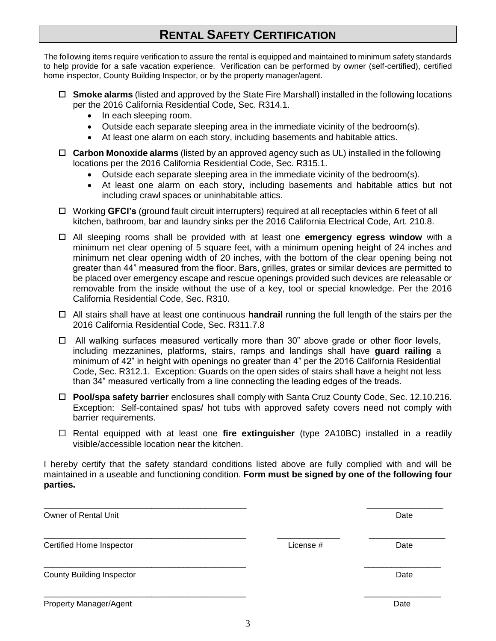# **RENTAL SAFETY CERTIFICATION**

The following items require verification to assure the rental is equipped and maintained to minimum safety standards to help provide for a safe vacation experience. Verification can be performed by owner (self-certified), certified home inspector, County Building Inspector, or by the property manager/agent.

- **Smoke alarms** (listed and approved by the State Fire Marshall) installed in the following locations per the 2016 California Residential Code, Sec. R314.1.
	- In each sleeping room.
	- Outside each separate sleeping area in the immediate vicinity of the bedroom(s).
	- At least one alarm on each story, including basements and habitable attics.
- **Carbon Monoxide alarms** (listed by an approved agency such as UL) installed in the following locations per the 2016 California Residential Code, Sec. R315.1.
	- Outside each separate sleeping area in the immediate vicinity of the bedroom(s).
	- At least one alarm on each story, including basements and habitable attics but not including crawl spaces or uninhabitable attics.
- Working **GFCI's** (ground fault circuit interrupters) required at all receptacles within 6 feet of all kitchen, bathroom, bar and laundry sinks per the 2016 California Electrical Code, Art. 210.8.
- All sleeping rooms shall be provided with at least one **emergency egress window** with a minimum net clear opening of 5 square feet, with a minimum opening height of 24 inches and minimum net clear opening width of 20 inches, with the bottom of the clear opening being not greater than 44" measured from the floor. Bars, grilles, grates or similar devices are permitted to be placed over emergency escape and rescue openings provided such devices are releasable or removable from the inside without the use of a key, tool or special knowledge. Per the 2016 California Residential Code, Sec. R310.
- All stairs shall have at least one continuous **handrail** running the full length of the stairs per the 2016 California Residential Code, Sec. R311.7.8
- $\Box$  All walking surfaces measured vertically more than 30" above grade or other floor levels, including mezzanines, platforms, stairs, ramps and landings shall have **guard railing** a minimum of 42" in height with openings no greater than 4" per the 2016 California Residential Code, Sec. R312.1. Exception: Guards on the open sides of stairs shall have a height not less than 34" measured vertically from a line connecting the leading edges of the treads.
- **Pool/spa safety barrier** enclosures shall comply with Santa Cruz County Code, Sec. 12.10.216. Exception: Self-contained spas/ hot tubs with approved safety covers need not comply with barrier requirements.
- Rental equipped with at least one **fire extinguisher** (type 2A10BC) installed in a readily visible/accessible location near the kitchen.

I hereby certify that the safety standard conditions listed above are fully complied with and will be maintained in a useable and functioning condition. **Form must be signed by one of the following four parties.**

| Owner of Rental Unit             |           | Date |
|----------------------------------|-----------|------|
| <b>Certified Home Inspector</b>  | License # | Date |
| <b>County Building Inspector</b> |           | Date |
| <b>Property Manager/Agent</b>    |           | Date |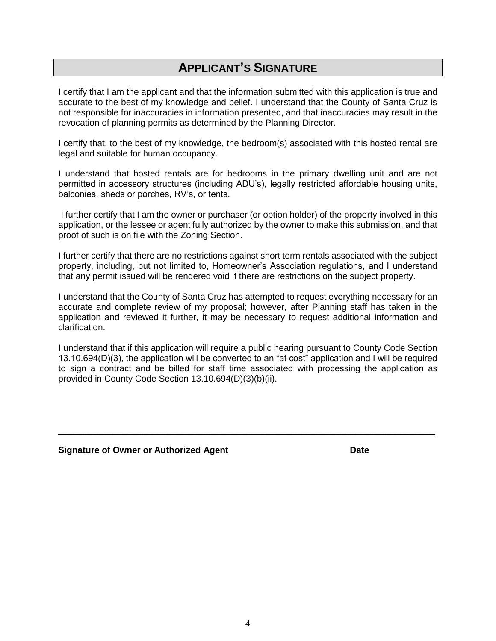# **APPLICANT'S SIGNATURE**

I certify that I am the applicant and that the information submitted with this application is true and accurate to the best of my knowledge and belief. I understand that the County of Santa Cruz is not responsible for inaccuracies in information presented, and that inaccuracies may result in the revocation of planning permits as determined by the Planning Director.

I certify that, to the best of my knowledge, the bedroom(s) associated with this hosted rental are legal and suitable for human occupancy.

I understand that hosted rentals are for bedrooms in the primary dwelling unit and are not permitted in accessory structures (including ADU's), legally restricted affordable housing units, balconies, sheds or porches, RV's, or tents.

I further certify that I am the owner or purchaser (or option holder) of the property involved in this application, or the lessee or agent fully authorized by the owner to make this submission, and that proof of such is on file with the Zoning Section.

I further certify that there are no restrictions against short term rentals associated with the subject property, including, but not limited to, Homeowner's Association regulations, and I understand that any permit issued will be rendered void if there are restrictions on the subject property.

I understand that the County of Santa Cruz has attempted to request everything necessary for an accurate and complete review of my proposal; however, after Planning staff has taken in the application and reviewed it further, it may be necessary to request additional information and clarification.

I understand that if this application will require a public hearing pursuant to County Code Section 13.10.694(D)(3), the application will be converted to an "at cost" application and I will be required to sign a contract and be billed for staff time associated with processing the application as provided in County Code Section 13.10.694(D)(3)(b)(ii).

\_\_\_\_\_\_\_\_\_\_\_\_\_\_\_\_\_\_\_\_\_\_\_\_\_\_\_\_\_\_\_\_\_\_\_\_\_\_\_\_\_\_\_\_\_\_\_\_\_\_\_\_\_\_\_\_\_\_\_\_\_\_\_\_\_\_\_\_\_\_\_\_\_\_\_\_

**Signature of Owner or Authorized Agent Date**